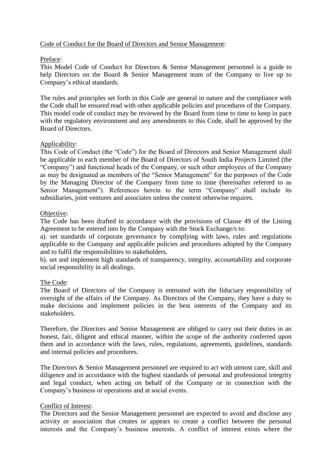# Code of Conduct for the Board of Directors and Senior Management:

# Preface:

This Model Code of Conduct for Directors & Senior Management personnel is a guide to help Directors on the Board & Senior Management team of the Company to live up to Company's ethical standards.

The rules and principles set forth in this Code are general in nature and the compliance with the Code shall be ensured read with other applicable policies and procedures of the Company. This model code of conduct may be reviewed by the Board from time to time to keep in pace with the regulatory environment and any amendments to this Code, shall be approved by the Board of Directors.

# Applicability:

This Code of Conduct (the "Code") for the Board of Directors and Senior Management shall be applicable to each member of the Board of Directors of South India Projects Limited (the "Company") and functional heads of the Company, or such other employees of the Company as may be designated as members of the "Senior Management" for the purposes of the Code by the Managing Director of the Company from time to time (hereinafter referred to as Senior Management"). References herein to the term "Company" shall include its subsidiaries, joint ventures and associates unless the context otherwise requires.

# Objective:

The Code has been drafted in accordance with the provisions of Clause 49 of the Listing Agreement to be entered into by the Company with the Stock Exchange/s to:

a). set standards of corporate governance by complying with laws, rules and regulations applicable to the Company and applicable policies and procedures adopted by the Company and to fulfil the responsibilities to stakeholders.

b). set and implement high standards of transparency, integrity, accountability and corporate social responsibility in all dealings.

## The Code:

The Board of Directors of the Company is entrusted with the fiduciary responsibility of oversight of the affairs of the Company. As Directors of the Company, they have a duty to make decisions and implement policies in the best interests of the Company and its stakeholders.

Therefore, the Directors and Senior Management are obliged to carry out their duties in an honest, fair, diligent and ethical manner, within the scope of the authority conferred upon them and in accordance with the laws, rules, regulations, agreements, guidelines, standards and internal policies and procedures.

The Directors & Senior Management personnel are required to act with utmost care, skill and diligence and in accordance with the highest standards of personal and professional integrity and legal conduct, when acting on behalf of the Company or in connection with the Company's business or operations and at social events.

## Conflict of Interest:

The Directors and the Senior Management personnel are expected to avoid and disclose any activity or association that creates or appears to create a conflict between the personal interests and the Company's business interests. A conflict of interest exists where the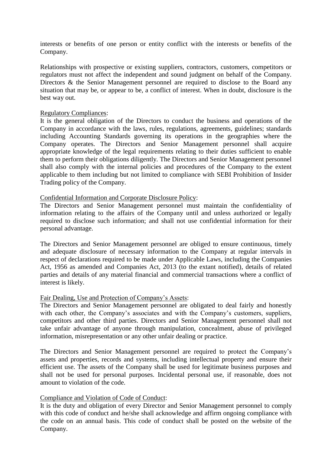interests or benefits of one person or entity conflict with the interests or benefits of the Company.

Relationships with prospective or existing suppliers, contractors, customers, competitors or regulators must not affect the independent and sound judgment on behalf of the Company. Directors & the Senior Management personnel are required to disclose to the Board any situation that may be, or appear to be, a conflict of interest. When in doubt, disclosure is the best way out.

### Regulatory Compliances:

It is the general obligation of the Directors to conduct the business and operations of the Company in accordance with the laws, rules, regulations, agreements, guidelines; standards including Accounting Standards governing its operations in the geographies where the Company operates. The Directors and Senior Management personnel shall acquire appropriate knowledge of the legal requirements relating to their duties sufficient to enable them to perform their obligations diligently. The Directors and Senior Management personnel shall also comply with the internal policies and procedures of the Company to the extent applicable to them including but not limited to compliance with SEBI Prohibition of Insider Trading policy of the Company.

## Confidential Information and Corporate Disclosure Policy:

The Directors and Senior Management personnel must maintain the confidentiality of information relating to the affairs of the Company until and unless authorized or legally required to disclose such information; and shall not use confidential information for their personal advantage.

The Directors and Senior Management personnel are obliged to ensure continuous, timely and adequate disclosure of necessary information to the Company at regular intervals in respect of declarations required to be made under Applicable Laws, including the Companies Act, 1956 as amended and Companies Act, 2013 (to the extant notified), details of related parties and details of any material financial and commercial transactions where a conflict of interest is likely.

## Fair Dealing, Use and Protection of Company's Assets:

The Directors and Senior Management personnel are obligated to deal fairly and honestly with each other, the Company's associates and with the Company's customers, suppliers, competitors and other third parties. Directors and Senior Management personnel shall not take unfair advantage of anyone through manipulation, concealment, abuse of privileged information, misrepresentation or any other unfair dealing or practice.

The Directors and Senior Management personnel are required to protect the Company's assets and properties, records and systems, including intellectual property and ensure their efficient use. The assets of the Company shall be used for legitimate business purposes and shall not be used for personal purposes. Incidental personal use, if reasonable, does not amount to violation of the code.

## Compliance and Violation of Code of Conduct:

It is the duty and obligation of every Director and Senior Management personnel to comply with this code of conduct and he/she shall acknowledge and affirm ongoing compliance with the code on an annual basis. This code of conduct shall be posted on the website of the Company.